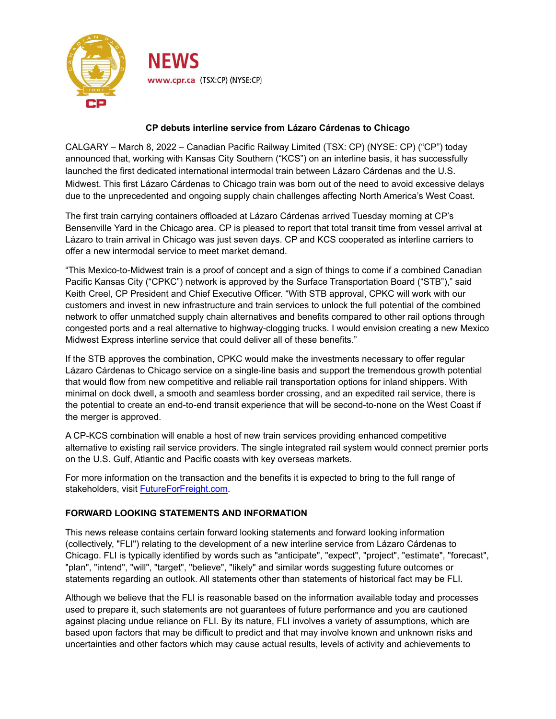

## **CP debuts interline service from Lázaro Cárdenas to Chicago**

CALGARY – March 8, 2022 – Canadian Pacific Railway Limited (TSX: CP) (NYSE: CP) ("CP") today announced that, working with Kansas City Southern ("KCS") on an interline basis, it has successfully launched the first dedicated international intermodal train between Lázaro Cárdenas and the U.S. Midwest. This first Lázaro Cárdenas to Chicago train was born out of the need to avoid excessive delays due to the unprecedented and ongoing supply chain challenges affecting North America's West Coast.

The first train carrying containers offloaded at Lázaro Cárdenas arrived Tuesday morning at CP's Bensenville Yard in the Chicago area. CP is pleased to report that total transit time from vessel arrival at Lázaro to train arrival in Chicago was just seven days. CP and KCS cooperated as interline carriers to offer a new intermodal service to meet market demand.

"This Mexico-to-Midwest train is a proof of concept and a sign of things to come if a combined Canadian Pacific Kansas City ("CPKC") network is approved by the Surface Transportation Board ("STB")," said Keith Creel, CP President and Chief Executive Officer. "With STB approval, CPKC will work with our customers and invest in new infrastructure and train services to unlock the full potential of the combined network to offer unmatched supply chain alternatives and benefits compared to other rail options through congested ports and a real alternative to highway-clogging trucks. I would envision creating a new Mexico Midwest Express interline service that could deliver all of these benefits."

If the STB approves the combination, CPKC would make the investments necessary to offer regular Lázaro Cárdenas to Chicago service on a single-line basis and support the tremendous growth potential that would flow from new competitive and reliable rail transportation options for inland shippers. With minimal on dock dwell, a smooth and seamless border crossing, and an expedited rail service, there is the potential to create an end-to-end transit experience that will be second-to-none on the West Coast if the merger is approved.

A CP-KCS combination will enable a host of new train services providing enhanced competitive alternative to existing rail service providers. The single integrated rail system would connect premier ports on the U.S. Gulf, Atlantic and Pacific coasts with key overseas markets.

For more information on the transaction and the benefits it is expected to bring to the full range of stakeholders, visit [FutureForFreight.com.](http://futureforfreight.com)

## **FORWARD LOOKING STATEMENTS AND INFORMATION**

This news release contains certain forward looking statements and forward looking information (collectively, "FLI") relating to the development of a new interline service from Lázaro Cárdenas to Chicago. FLI is typically identified by words such as "anticipate", "expect", "project", "estimate", "forecast", "plan", "intend", "will", "target", "believe", "likely" and similar words suggesting future outcomes or statements regarding an outlook. All statements other than statements of historical fact may be FLI.

Although we believe that the FLI is reasonable based on the information available today and processes used to prepare it, such statements are not guarantees of future performance and you are cautioned against placing undue reliance on FLI. By its nature, FLI involves a variety of assumptions, which are based upon factors that may be difficult to predict and that may involve known and unknown risks and uncertainties and other factors which may cause actual results, levels of activity and achievements to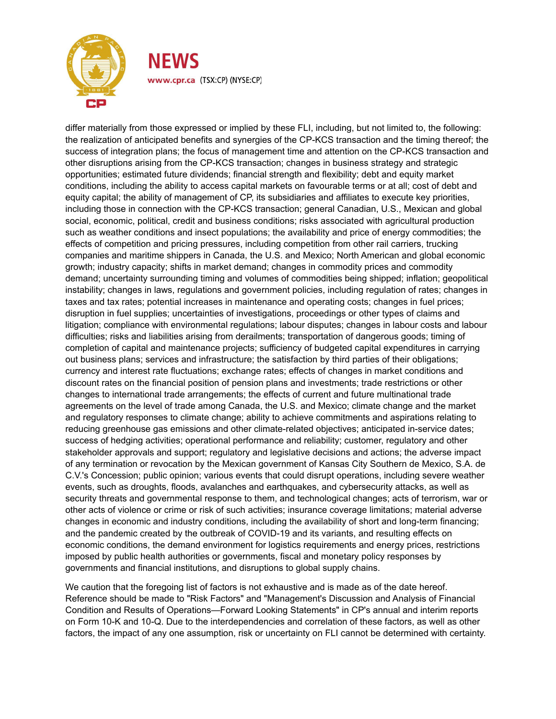

differ materially from those expressed or implied by these FLI, including, but not limited to, the following: the realization of anticipated benefits and synergies of the CP-KCS transaction and the timing thereof; the success of integration plans; the focus of management time and attention on the CP-KCS transaction and other disruptions arising from the CP-KCS transaction; changes in business strategy and strategic opportunities; estimated future dividends; financial strength and flexibility; debt and equity market conditions, including the ability to access capital markets on favourable terms or at all; cost of debt and equity capital; the ability of management of CP, its subsidiaries and affiliates to execute key priorities, including those in connection with the CP-KCS transaction; general Canadian, U.S., Mexican and global social, economic, political, credit and business conditions; risks associated with agricultural production such as weather conditions and insect populations; the availability and price of energy commodities; the effects of competition and pricing pressures, including competition from other rail carriers, trucking companies and maritime shippers in Canada, the U.S. and Mexico; North American and global economic growth; industry capacity; shifts in market demand; changes in commodity prices and commodity demand; uncertainty surrounding timing and volumes of commodities being shipped; inflation; geopolitical instability; changes in laws, regulations and government policies, including regulation of rates; changes in taxes and tax rates; potential increases in maintenance and operating costs; changes in fuel prices; disruption in fuel supplies; uncertainties of investigations, proceedings or other types of claims and litigation; compliance with environmental regulations; labour disputes; changes in labour costs and labour difficulties; risks and liabilities arising from derailments; transportation of dangerous goods; timing of completion of capital and maintenance projects; sufficiency of budgeted capital expenditures in carrying out business plans; services and infrastructure; the satisfaction by third parties of their obligations; currency and interest rate fluctuations; exchange rates; effects of changes in market conditions and discount rates on the financial position of pension plans and investments; trade restrictions or other changes to international trade arrangements; the effects of current and future multinational trade agreements on the level of trade among Canada, the U.S. and Mexico; climate change and the market and regulatory responses to climate change; ability to achieve commitments and aspirations relating to reducing greenhouse gas emissions and other climate-related objectives; anticipated in-service dates; success of hedging activities; operational performance and reliability; customer, regulatory and other stakeholder approvals and support; regulatory and legislative decisions and actions; the adverse impact of any termination or revocation by the Mexican government of Kansas City Southern de Mexico, S.A. de C.V.'s Concession; public opinion; various events that could disrupt operations, including severe weather events, such as droughts, floods, avalanches and earthquakes, and cybersecurity attacks, as well as security threats and governmental response to them, and technological changes; acts of terrorism, war or other acts of violence or crime or risk of such activities; insurance coverage limitations; material adverse changes in economic and industry conditions, including the availability of short and long-term financing; and the pandemic created by the outbreak of COVID-19 and its variants, and resulting effects on economic conditions, the demand environment for logistics requirements and energy prices, restrictions imposed by public health authorities or governments, fiscal and monetary policy responses by governments and financial institutions, and disruptions to global supply chains.

We caution that the foregoing list of factors is not exhaustive and is made as of the date hereof. Reference should be made to "Risk Factors" and "Management's Discussion and Analysis of Financial Condition and Results of Operations—Forward Looking Statements" in CP's annual and interim reports on Form 10-K and 10-Q. Due to the interdependencies and correlation of these factors, as well as other factors, the impact of any one assumption, risk or uncertainty on FLI cannot be determined with certainty.